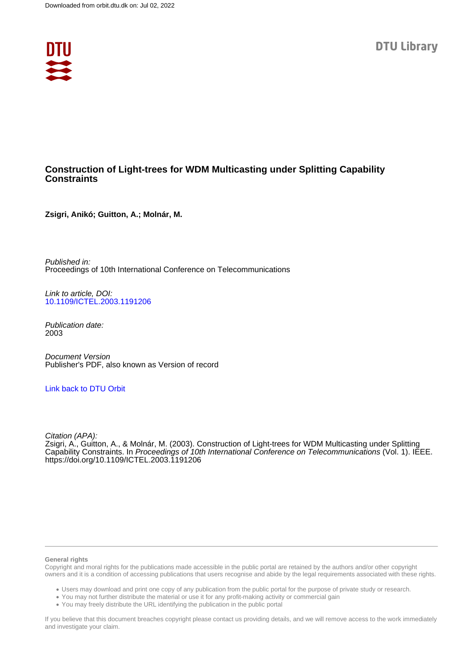

# **Construction of Light-trees for WDM Multicasting under Splitting Capability Constraints**

**Zsigri, Anikó; Guitton, A.; Molnár, M.**

Published in: Proceedings of 10th International Conference on Telecommunications

Link to article, DOI: [10.1109/ICTEL.2003.1191206](https://doi.org/10.1109/ICTEL.2003.1191206)

Publication date: 2003

Document Version Publisher's PDF, also known as Version of record

# [Link back to DTU Orbit](https://orbit.dtu.dk/en/publications/eb6755e0-9c6b-40e6-b131-1446e0edd353)

Citation (APA): Zsigri, A., Guitton, A., & Molnár, M. (2003). Construction of Light-trees for WDM Multicasting under Splitting Capability Constraints. In Proceedings of 10th International Conference on Telecommunications (Vol. 1). IEEE. <https://doi.org/10.1109/ICTEL.2003.1191206>

#### **General rights**

Copyright and moral rights for the publications made accessible in the public portal are retained by the authors and/or other copyright owners and it is a condition of accessing publications that users recognise and abide by the legal requirements associated with these rights.

Users may download and print one copy of any publication from the public portal for the purpose of private study or research.

- You may not further distribute the material or use it for any profit-making activity or commercial gain
- You may freely distribute the URL identifying the publication in the public portal

If you believe that this document breaches copyright please contact us providing details, and we will remove access to the work immediately and investigate your claim.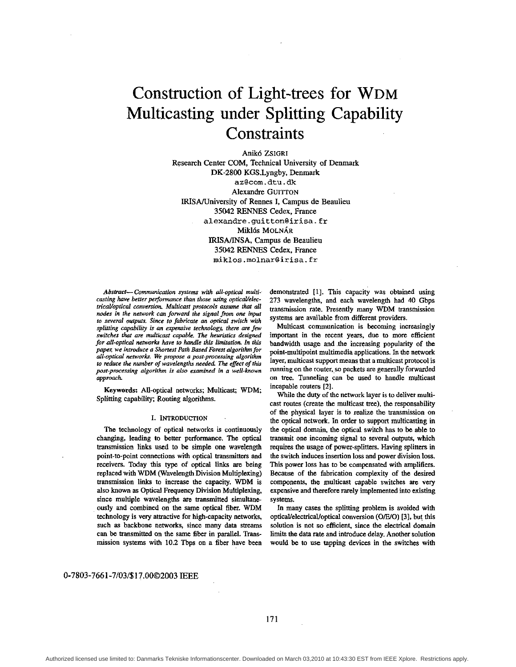# Construction of Light-trees for WDM Multicasting under Splitting Capability **Constraints**

**Anikó ZsiGRI** Research Center COM, Technical University of Denmark DK-2800 KGS.Lyngby, Denmark az@com.dtu.dk Alexandre GUITTON IRISA/University of Rennes I, Campus de Beaulieu 35042 RENNES Cedex, France **[alexandre.guitton@irisa.fr](mailto:alexandre.guitton@irisa.fr) Miklós MOLNÁR IRISA/INSA.** Campus de Beaulieu 35042 RENNES Cedex, France [miklos.molnar@irisa.fr](mailto:miklos.molnar@irisa.fr)

*to several outputs, Since to fabricate* **an** *optical switch with splitting capability is an expensive technology, there are few* Multicast communication is becoming increasingly switches that are multicast capable. The heuristics designed important in the recent years, due to more effi *for all-optical networks have to handle this limitation. In this paper, we introduce a Shortest Path Based Forest algorithm for all-optical rrerworkc We pmpose a post-processing algorithm to reduce the number of wavelength needed The effect of this post-processing algorithm is* **also** *m'ned in a well-known*  approach

Keywords: All-optical networks, **Multicast; WDM,**  Splitting capability; Routing algorithms.

### I. **INTRODUCTION**

The technology of optical networks is continuously changing, leading to better performance. The optical transmission links used to be simple one wavelength point-to-point connections with optical transmitters and receivers. Today this **type** of optical links are being replaced with WDM (Wavelength Division Multiplexing) transmission links to increase the capacity. WDM is also known **as** Optical Frequency Division Multiplexing, since multiple wavelengths are transmitted simultaneously and combined **on** the same optical fiber. WDM technology is very attractive for high-capacity networks, such as backbone networks, since many data streams can be transmitted on the same fiber in parallel. Transmission systems with 10.2 Tbps on **a** fiber have been

*Absfmct- Communication systems with all-opticaf multi-* demonstrated [l]. This capacity was obtained using casting have better performance than those using optical/elec- 273 wavelengths, and each wavelength had 40 Gbps<br>trical/optical conversion, Multicast protocols assume that all **representively** proposition many WDM transmiss *tricaVoptical conversion. Multicast protocols assume that all transmission rate. Presently many WDM transmission nodes in the network can forward the signal from one input <i>and the signal manuformalision* systems are available from different providers.

> *important in the recent years, due to more efficient* bandwidth usage and the increasing popularity of the point-mnltipoint multimedia applications. In the network layer, multicast support means that a multicast protocol is running on the router, **so** packets **are** generally forwarded on tree. Tunneling can be used to handle multicast incapable routers **[2].**

> While the duty of the network layer **is** to deliver multicast routes (create the multicast **tree).** the responsability of the physical layer is to realize the transmission on the optical network. In order to support multicasting in the optical domain, the optical switch has to be able to transmit one incoming signal to several **outputs,** which *requires* the usage of power-splitters. Having splitters in the switch induces insertion **loss** and power division **loss.**  This power loss has to be compensated with amplifiers. **Because** of the fabrication complexity of the desired components, the multicast capable switches **are.** very expensive and therefore rarely implemented into existing systems.

> In many cases the splitting problem **is** avoided with opticaUelectricaVoptical conversion *(ONO)* **[31,** but **this**  solution is not so efficient, since the electrical domain limits the data rate and introduce delay. Another solution would be to **use** tapping devices in the switches with

# **0-7803-7661-7/03/\$17.0002003 IEEE**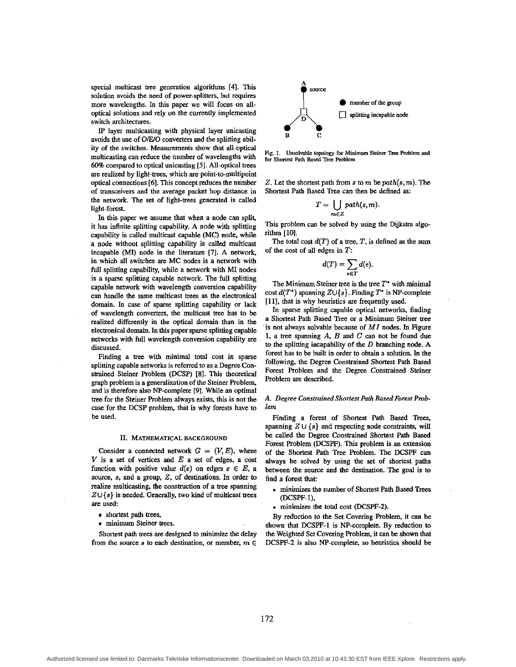special multicast tree generation algorithms **[41.** This solution avoids the need of power-splitters, but requires more wavelengths. In this paper we will focus on alloptical solutions and rely on the currently implemented switch architectures.

**IP** layer multicasting with physical layer unicasting avoids the use of *O/E/O* converters and the splitting ability of the switches. Measurements show that all-optical multicasting can reduce the number of wavelengths with 60% compared tn optical nnicasting **[51.** All-optical **trees**  are realized by light-trees, which are point-to-multipoint optical connections **[6].** This concept reduces the number of transceivers and the average packet hop distance in the network. The set of light-trees generated is called light-forest

In this paper we assume that when a node can split, it has infinite splitting capability. A node with splitting capability is called multicast capable **(MC)** node, while a node without splitting capability is called multicast incapable (MI) node in the literature **[7]. A** network, in which all switches **are** MC nodes is a network with full splitting capability, while a network with MI nodes is a sparse splitting capable network. The full splitting capable network with wavelength conversion capability can handle the same multicast trees as the electronical domain. In case of sparse splitting capability or lack of wavelength converters, the multicast tree has to be realized differently in the optical domain than in the electronical domain. In this paper sparse splitting capable networks with **full** wavelength conversion capability are discussed.

Finding a tree with minimal total cost in sparse splitting capable networks is referred to as a Degree Constmined Steiner Problem (DCSP) *[8].* **This** theoretical graph problem is a generalization of the Steiner Problem, and is therefore also NP-complete *[9].* While an optimal tree for the Steiner Problem always exists. **this** is not the case for the DCSP problem, that is why forests have to be used.

#### **11. MATHEMATICAL BACKGROUND**

Consider a connected network  $G = (V, E)$ , where V is a set of vertices and *E* a set of edges, **a** cost function with positive value  $d(e)$  on edges  $e \in E$ , a source, **s,** and a group, *Z,* of destinations. In order to realize multicasting, the construction of a tree spanning  $Z \cup \{s\}$  is needed. Generally, two kind of multicast trees are **used:** 

- shortest path trees,
- minimum Steiner trees.

Shortest path **trees are** designed to minimize the delay from the source s to each destination, or member,  $m \in$ 



**Fig. 1. Unsolvable topology for Minimum Steiner** Tree **Roblcm and for Shortest Path Bard Tree Roblem** 

*2.* Let the shortest path from **s** to **m** be *path(&* m). The Shortest Path Based Tree can then be defined as:

$$
T=\bigcup_{m\in Z} path(s,m).
$$

This problem can be solved by using the Dijkstra algorithm [lo].

The total cost  $d(T)$  of a tree, T, is defined as the sum of the cost of all edges in  $T$ :

$$
d(T)=\sum_{e\in T}d(e).
$$

The Minimum Steiner tree is the tree *T'* with minimal  $\text{cost } d(T^*)$  spanning  $Z \cup \{s\}$ . Finding  $T^*$  is NP-complete **1111,** that is why heuristics are frequently **used.** 

In sparse splitting capable optical networks, finding a Shortest Path Based Tree or a Minimum Steiner tree is not always solvable because of  $MI$  nodes. In Figure **1,** a tree spanning A. B and *C can* not be found due to the splitting incapability of the *D* branching node. A forest has to be built in order to obtain a solution. In the following, the Degree Constrained Shortest Path Based Forest Problem and the Degree Constrained Steiner Problem **are** described.

## **A.** *Degree Constrained Shortest Path Based Foresf Pmblem*

Finding a forest of Shortest Path Based Trees, spanning  $Z \cup \{s\}$  and respecting node constraints, will be called the Degree Constrained Shortest Path Based Forest Problem (DCSPF). This problem is an extension of the Shortest Path Tree Problem. The DCSPF can always be solved by using the set of *shortest* paths between the source and the destination. **The** goal is to find a forest that:

- . **minimizes** the number of Shortest Path Based Trees (DCSPF- 1 ),
- . minimizes the total cost (DCSPF-2).

By reduction to the Set Covering Problem, it can be shown that DCSPF-1 is NP-complete. By reduction to the Weighted *Set* Covering Problem, it can be shown **that**  DCSPF-2 is also NP-complete, **so** heuristics should be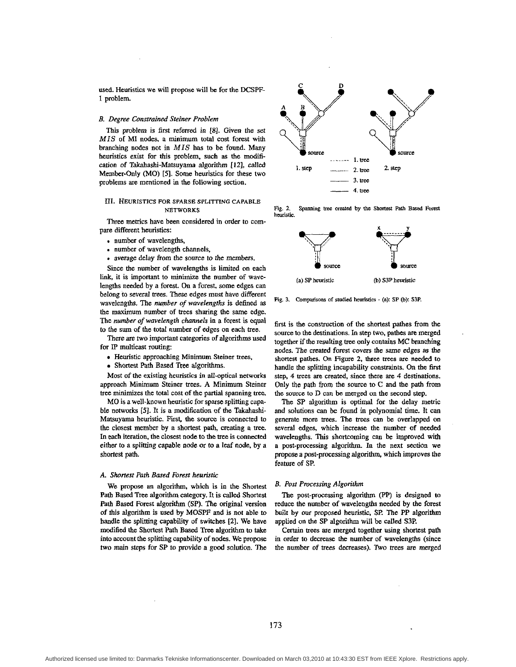used. Heuristics we will propose will be for the DCSPF-1 problem.

#### *B. Degme Construined Steiner Pmblem*

This problem is first referred in 181. Given the set *MIS* of MI nodes, a minimum total cost forest with branching nodes not in MIS has to be found. Many heuristics exist for this problem, such as the modification of Takahashi-Matsuyama algorithm **1121,** called Member-Only (MO) *[5].* Some heuristics for these two problems are mentioned in the following section.

# **111. HEURISTICS FOR SPARSE SPLITTING CAPABLE NETWORKS**

Three metrics have been considered in order to compare different heuristics:

- . number of wavelengths,
- number of wavelength channels,
- . average delay from the source to the members.

Since the number of wavelengths is limited on each link, it is important to minimize the number of wavelengths needed by a forest. On a forest, some edges can belong to several trees. These edges must have different wavelengths. The *number of wavelengths* is defined **as**  the maximum number of trees sharing the **same** edge. The *number of wavelength chnnnels* in a forest is equal to the **sum** of the total number of edges on each tree.

There are **two** important categories of algorithms used for **IP** multicast routing:

- Heuristic approaching Minimum Steiner trees,
- Shortest Path Based Tree algorithms.

Most of the existing heuristics in all-optical networks approach Minimum Steiner trees. A Minimum Steiner tree **minimizes** the total cost of the partial spanning **tree.** 

MO is a well-known heuristic for sparse splitting capable networks *[5].* It is a modification of the Takahashi-Matsuyama heuristic. First, the source is connected to the closest member by a shortest path, creating a tree. In each iteration, the closest node to the tree is connected either to a splitting capable node or to a leaf node, by a shortest path.

#### *A. Shortest Path Based Forest heuristic*

We propose an algorithm, which is in the Shortest Path Based Tree algorithm category. It is called Shortest Path **Based** Forest algorithm (SP). The original version of **this** algorithm is used by MOSPF and is not able to handle the splitting capability of switches **[2].** We have modified the Shortest Path **Based Tree** algorithm to take into account the splitting capability of nodes. We propose two main steps for SP to provide a **good** solution. The



**fig. 2. heuristic.**  Spanning trec created by the Shortest Path Based Forest



Fig. 3. Comparisons of studied heuristics  $-$  (a): SP (b): S3P.

first is the construction of the shortest pathes from the source to the destinations. In **step** two, patbes **are** merged together if the resulting tree ody contains MC branching nodes. The created forest covers the same edges **as** the shortest pathes. On Figure 2, three **trees are** needed to handle the splitting incapability constraints. On the first step, 4 trees are created. since there are 4 destinations. Only the path **from** the *source* to C and the path from the source to D can be merged **on** the second step.

The SP algorithm is optimal for the delay metric and solutions can be found in polynomial time. It can generate more trees. The **uees** can be overlapped on several edges, which increase the number of needed wavelengths. This shortcoming can be improved with a post-processing algorithm. In the next section we propose **a** post-processing algorithm, which improves the feature of SP.

#### *B. Post Processing Algorithm*

The post-processing algorithm (PP) is designed to reduce the number of wavelengths needed by the forest built by our proposed heuristic. **SP.** The PP algorithm applied on the SP algorithm will be called S3P.

**Certain** trees are merged together using shortest path in order to decrease the number of wavelengths (since the number of trees decreases). *'ho* trees are merged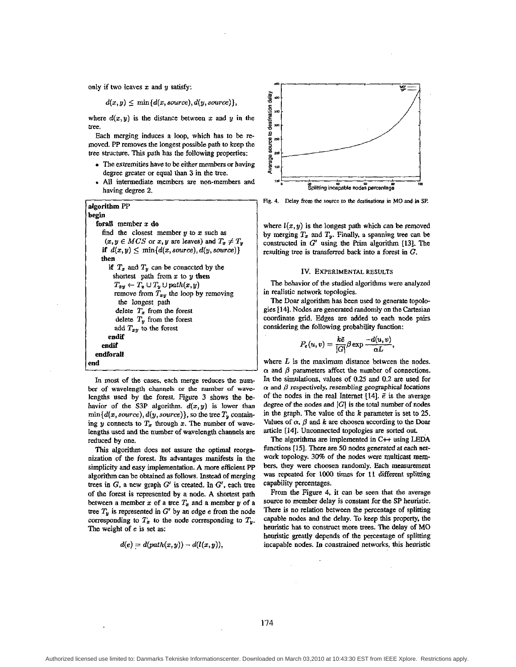only if two leaves  $x$  and  $y$  satisfy:

 $d(x,y) \leq \min\{d(x,source), d(y,source)\},\$ 

where  $d(x, y)$  is the distance between x and y in the tree.

Each merging induces a loop, which has to be removed. PP removes the longest possible path to keep the tree skucture. This path has the following properties:

- degree greater or equal than 3 in the tree.<br>All intermediate members are non-members and The extremities have to be either members or having
- having degree 2.

| algorithm PP                                           |
|--------------------------------------------------------|
| begin                                                  |
| forall member x do                                     |
| find the closest member $y$ to $x$ such as             |
| $(x, y \in MCS$ or x, y are leaves) and $T_x \neq T_y$ |
| if $d(x, y) \le \min\{d(x, source), d(y, source)\}\$   |
| then                                                   |
| if $T_x$ and $T_y$ can be connected by the             |
| shortest path from $x$ to $y$ then                     |
| $T_{xy} \leftarrow T_x \cup T_y \cup path(x, y)$       |
| remove from $T_{xy}$ the loop by removing              |
| the longest path                                       |
| delete $T_x$ from the forest                           |
| delete $T_y$ from the forest                           |
| add $T_{xy}$ to the forest                             |
| endif                                                  |
| endif                                                  |
| endforall                                              |
| end                                                    |

In most of the cases, each merge reduces the number of wavelength channels or the number of wavelengths used by the forest. Figure 3 shows the behavior of the S3P algorithm.  $d(x, y)$  is lower than  $\min\{d(x, source), d(y, source)\}\$ , so the tree  $T_y$  containing y connects to  $T_x$  through x. The number of wavelengths used and the number of wavelength channels are reduced by one.

This algorithm does not assure the optimal reorganization of the forest. Its advantages manifests in the simplicity and easy implementation. A more efficient PP algorithm can be obtained as follows. Instead of merging trees in G, a new graph  $G'$  is created. In  $G'$ , each tree of the forest is represented by a node. A shortest path between a member x of a tree  $T_x$  and a member y of a tree  $T<sub>v</sub>$  is represented in G' by an edge e from the node corresponding to  $T_x$  to the node corresponding to  $T_y$ . The weight of e is set as:

$$
d(e) = d(path(x, y)) - d(l(x, y)),
$$



**Fig. 4. Delay from the source to** the **destinations in MO** and **in SP.** 

where  $l(x, y)$  is the longest path which can be removed where  $l(x, y)$  is the longest path which can be removed<br>by merging  $T_x$  and  $T_y$ . Finally, a spanning tree can be<br>constructed in  $G'$  using the Prim algorithm [13]. The constructed in G' using the Prim algorithm **[131.** The resulting tree is transferred back into a forest in  $G$ .

#### **IV. EXPERIMENTAL RESULTS**

The behavior of the studied algorithms were analyzed in realistic network topologies.

The **Doar** algorithm has been used to generate topolo gies **1141.** Nodes **are** generated randomly on the Cartesian coordinate grid. Edges are added to each node pairs considering the following probability function:

$$
P_e(u,v)=\frac{k\bar{e}}{|G|}\beta \exp{\frac{-d(u,v)}{\alpha L}},
$$

where L is the maximum distance between the nodes.<br> $\alpha$  and  $\beta$  parameters affect the number of connections. In the simulations, values of 0.25 and 0.2 are used for  $\alpha$  and  $\beta$  respectively, resembling geographical locations of the nodes in the real Internet  $[14]$ .  $\vec{e}$  is the average degree of the nodes and  $|G|$  is the total number of nodes in the graph. The value of the  $k$  parameter is set to 25. Values of  $\alpha$ ,  $\beta$  and  $k$  are choosen according to the Doar article [14]. Unconnected topologies are sorted out.

The algorithms are implemented in  $C++$  using LEDA functions [15]. There are 50 nodes generated at each network topology. 30% of the nodes were multicast members, they were choosen randomly. Each measurement was repeated for 1000 times for 11 different splitting capability percentages.

From the Figure 4, it can be seen that the average source to member delay is constant for the SP heuristic. There is no relation between the percentage of splitting capable nodes and the delay. To keep this property, the heuristic has to construct more trees. The delay of MO heuristic greatly depends of the percentage of splitting incapable nodes. In constrained networks, this heuristic

I